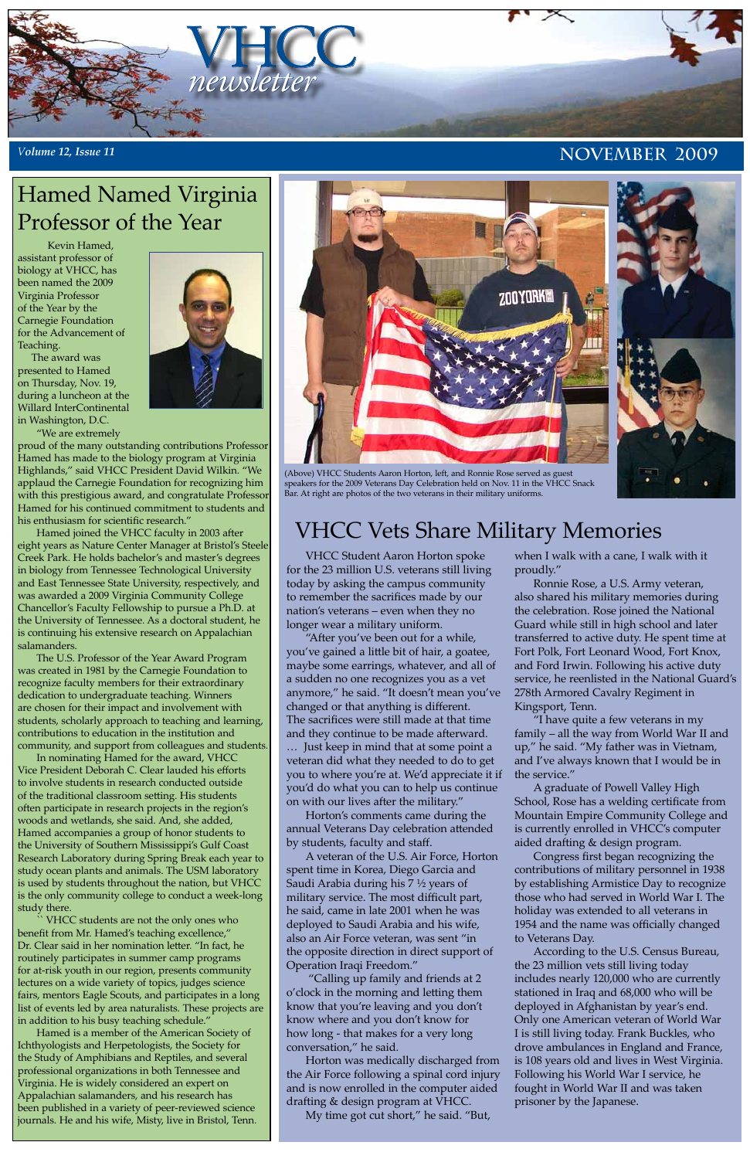

VHCC Student Aaron Horton spoke for the 23 million U.S. veterans still living today by asking the campus community to remember the sacrifices made by our nation's veterans – even when they no longer wear a military uniform.

"After you've been out for a while, you've gained a little bit of hair, a goatee, maybe some earrings, whatever, and all of a sudden no one recognizes you as a vet anymore," he said. "It doesn't mean you've changed or that anything is different. The sacrifices were still made at that time and they continue to be made afterward. … Just keep in mind that at some point a veteran did what they needed to do to get you to where you're at. We'd appreciate it if you'd do what you can to help us continue on with our lives after the military."

Horton's comments came during the annual Veterans Day celebration attended by students, faculty and staff.

A veteran of the U.S. Air Force, Horton spent time in Korea, Diego Garcia and Saudi Arabia during his 7 ½ years of military service. The most difficult part, he said, came in late 2001 when he was deployed to Saudi Arabia and his wife, also an Air Force veteran, was sent "in the opposite direction in direct support of Operation Iraqi Freedom."

 "Calling up family and friends at 2 o'clock in the morning and letting them know that you're leaving and you don't know where and you don't know for how long - that makes for a very long conversation," he said.

Horton was medically discharged from the Air Force following a spinal cord injury and is now enrolled in the computer aided drafting & design program at VHCC.

My time got cut short," he said. "But,

when I walk with a cane, I walk with it proudly."

Ronnie Rose, a U.S. Army veteran, also shared his military memories during the celebration. Rose joined the National Guard while still in high school and later transferred to active duty. He spent time at Fort Polk, Fort Leonard Wood, Fort Knox, and Ford Irwin. Following his active duty service, he reenlisted in the National Guard's 278th Armored Cavalry Regiment in Kingsport, Tenn.

"I have quite a few veterans in my family – all the way from World War II and up," he said. "My father was in Vietnam, and I've always known that I would be in the service."

A graduate of Powell Valley High School, Rose has a welding certificate from Mountain Empire Community College and is currently enrolled in VHCC's computer aided drafting & design program. Congress first began recognizing the contributions of military personnel in 1938 by establishing Armistice Day to recognize those who had served in World War I. The holiday was extended to all veterans in 1954 and the name was officially changed to Veterans Day. According to the U.S. Census Bureau, the 23 million vets still living today includes nearly 120,000 who are currently stationed in Iraq and 68,000 who will be deployed in Afghanistan by year's end. Only one American veteran of World War I is still living today. Frank Buckles, who drove ambulances in England and France, is 108 years old and lives in West Virginia. Following his World War I service, he fought in World War II and was taken prisoner by the Japanese.

# VHCC Vets Share Military Memories

### Hamed Named Virginia Professor of the Year

 Kevin Hamed, assistant professor of biology at VHCC, has been named the 2009 Virginia Professor of the Year by the Carnegie Foundation for the Advancement of Teaching.

 The award was presented to Hamed on Thursday, Nov. 19, during a luncheon at the Willard InterContinental in Washington, D.C.

"We are extremely

proud of the many outstanding contributions Professor Hamed has made to the biology program at Virginia Highlands," said VHCC President David Wilkin. "We applaud the Carnegie Foundation for recognizing him with this prestigious award, and congratulate Professor Hamed for his continued commitment to students and his enthusiasm for scientific research."

Hamed joined the VHCC faculty in 2003 after eight years as Nature Center Manager at Bristol's Steele Creek Park. He holds bachelor's and master's degrees in biology from Tennessee Technological University and East Tennessee State University, respectively, and was awarded a 2009 Virginia Community College Chancellor's Faculty Fellowship to pursue a Ph.D. at the University of Tennessee. As a doctoral student, he is continuing his extensive research on Appalachian salamanders.

The U.S. Professor of the Year Award Program was created in 1981 by the Carnegie Foundation to recognize faculty members for their extraordinary dedication to undergraduate teaching. Winners are chosen for their impact and involvement with students, scholarly approach to teaching and learning, contributions to education in the institution and community, and support from colleagues and students.

In nominating Hamed for the award, VHCC Vice President Deborah C. Clear lauded his efforts to involve students in research conducted outside of the traditional classroom setting. His students often participate in research projects in the region's woods and wetlands, she said. And, she added, Hamed accompanies a group of honor students to the University of Southern Mississippi's Gulf Coast Research Laboratory during Spring Break each year to study ocean plants and animals. The USM laboratory is used by students throughout the nation, but VHCC is the only community college to conduct a week-long study there. VHCC students are not the only ones who benefit from Mr. Hamed's teaching excellence," Dr. Clear said in her nomination letter. "In fact, he routinely participates in summer camp programs for at-risk youth in our region, presents community lectures on a wide variety of topics, judges science fairs, mentors Eagle Scouts, and participates in a long list of events led by area naturalists. These projects are in addition to his busy teaching schedule." Hamed is a member of the American Society of Ichthyologists and Herpetologists, the Society for the Study of Amphibians and Reptiles, and several professional organizations in both Tennessee and Virginia. He is widely considered an expert on Appalachian salamanders, and his research has been published in a variety of peer-reviewed science journals. He and his wife, Misty, live in Bristol, Tenn.





#### *Volume 12, Issue 11*

(Above) VHCC Students Aaron Horton, left, and Ronnie Rose served as guest speakers for the 2009 Veterans Day Celebration held on Nov. 11 in the VHCC Snack Bar. At right are photos of the two veterans in their military uniforms.